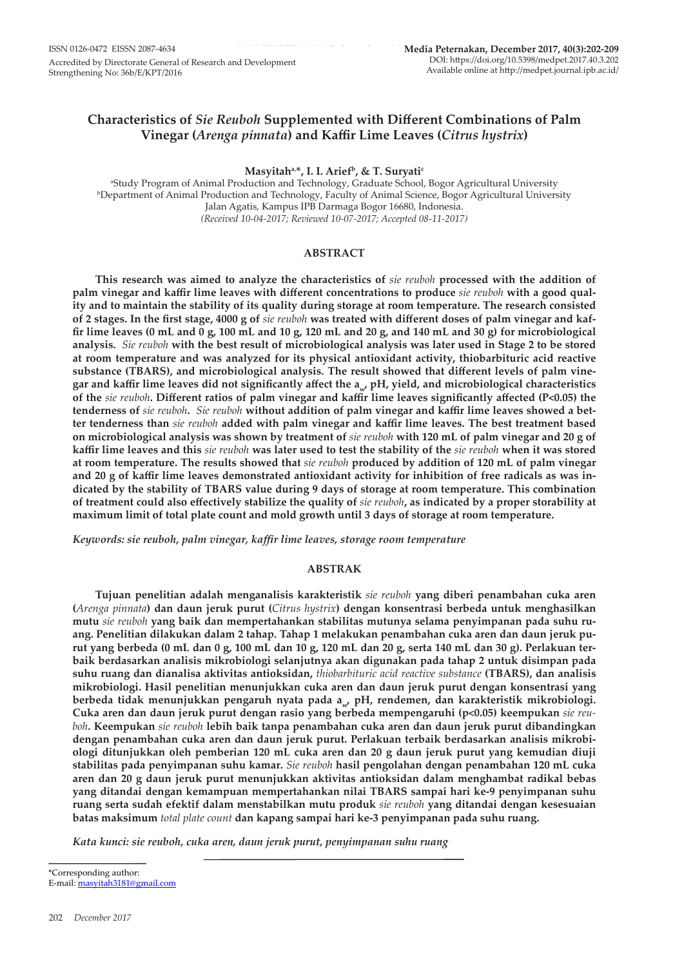# **Characteristics of** *Sie Reuboh* **Supplemented with Different Combinations of Palm Vinegar (***Arenga pinnata***) and Kaffir Lime Leaves (***Citrus hystrix***)**

**Masyitaha,\*, I. I. Ariefb, & T. Suryatic** 

a Study Program of Animal Production and Technology, Graduate School, Bogor Agricultural University b Department of Animal Production and Technology, Faculty of Animal Science, Bogor Agricultural University Jalan Agatis, Kampus IPB Darmaga Bogor 16680, Indonesia. *(Received 10-04-2017; Reviewed 10-07-2017; Accepted 08-11-2017)*

# **ABSTRACT**

**This research was aimed to analyze the characteristics of** *sie reuboh* **processed with the addition of palm vinegar and kaffir lime leaves with different concentrations to produce** *sie reuboh* **with a good quality and to maintain the stability of its quality during storage at room temperature. The research consisted of 2 stages. In the first stage, 4000 g of** *sie reuboh* **was treated with different doses of palm vinegar and kaffir lime leaves (0 mL and 0 g, 100 mL and 10 g, 120 mL and 20 g, and 140 mL and 30 g) for microbiological analysis.** *Sie reuboh* **with the best result of microbiological analysis was later used in Stage 2 to be stored at room temperature and was analyzed for its physical antioxidant activity, thiobarbituric acid reactive substance (TBARS), and microbiological analysis. The result showed that different levels of palm vinegar and kaffir lime leaves did not significantly affect the aw, pH, yield, and microbiological characteristics of the** *sie reuboh***. Different ratios of palm vinegar and kaffir lime leaves significantly affected (P<0.05) the tenderness of** *sie reuboh***.** *Sie reuboh* **without addition of palm vinegar and kaffir lime leaves showed a better tenderness than** *sie reuboh* **added with palm vinegar and kaffir lime leaves. The best treatment based on microbiological analysis was shown by treatment of** *sie reuboh* **with 120 mL of palm vinegar and 20 g of kaffir lime leaves and this** *sie reuboh* **was later used to test the stability of the** *sie reuboh* **when it was stored at room temperature. The results showed that** *sie reuboh* **produced by addition of 120 mL of palm vinegar and 20 g of kaffir lime leaves demonstrated antioxidant activity for inhibition of free radicals as was indicated by the stability of TBARS value during 9 days of storage at room temperature. This combination of treatment could also effectively stabilize the quality of** *sie reuboh***, as indicated by a proper storability at maximum limit of total plate count and mold growth until 3 days of storage at room temperature.**

*Keywords: sie reuboh, palm vinegar, kaffir lime leaves, storage room temperature*

# **ABSTRAK**

**Tujuan penelitian adalah menganalisis karakteristik** *sie reuboh* **yang diberi penambahan cuka aren (***Arenga pinnata***) dan daun jeruk purut (***Citrus hystrix***) dengan konsentrasi berbeda untuk menghasilkan mutu** *sie reuboh* **yang baik dan mempertahankan stabilitas mutunya selama penyimpanan pada suhu ruang. Penelitian dilakukan dalam 2 tahap. Tahap 1 melakukan penambahan cuka aren dan daun jeruk purut yang berbeda (0 mL dan 0 g, 100 mL dan 10 g, 120 mL dan 20 g, serta 140 mL dan 30 g). Perlakuan terbaik berdasarkan analisis mikrobiologi selanjutnya akan digunakan pada tahap 2 untuk disimpan pada suhu ruang dan dianalisa aktivitas antioksidan,** *thiobarbituric acid reactive substance* **(TBARS), dan analisis mikrobiologi. Hasil penelitian menunjukkan cuka aren dan daun jeruk purut dengan konsentrasi yang**  berbeda tidak menunjukkan pengaruh nyata pada a<sub>w</sub>, pH, rendemen, dan karakteristik mikrobiologi. **Cuka aren dan daun jeruk purut dengan rasio yang berbeda mempengaruhi (p<0.05) keempukan** *sie reuboh***. Keempukan** *sie reuboh* **lebih baik tanpa penambahan cuka aren dan daun jeruk purut dibandingkan dengan penambahan cuka aren dan daun jeruk purut. Perlakuan terbaik berdasarkan analisis mikrobiologi ditunjukkan oleh pemberian 120 mL cuka aren dan 20 g daun jeruk purut yang kemudian diuji stabilitas pada penyimpanan suhu kamar.** *Sie reuboh* **hasil pengolahan dengan penambahan 120 mL cuka aren dan 20 g daun jeruk purut menunjukkan aktivitas antioksidan dalam menghambat radikal bebas yang ditandai dengan kemampuan mempertahankan nilai TBARS sampai hari ke-9 penyimpanan suhu ruang serta sudah efektif dalam menstabilkan mutu produk** *sie reuboh* **yang ditandai dengan kesesuaian batas maksimum** *total plate count* **dan kapang sampai hari ke-3 penyimpanan pada suhu ruang.** 

*Kata kunci: sie reuboh, cuka aren, daun jeruk purut, penyimpanan suhu ruang*

\*Corresponding author: E-mail: masyitah3181@gmail.com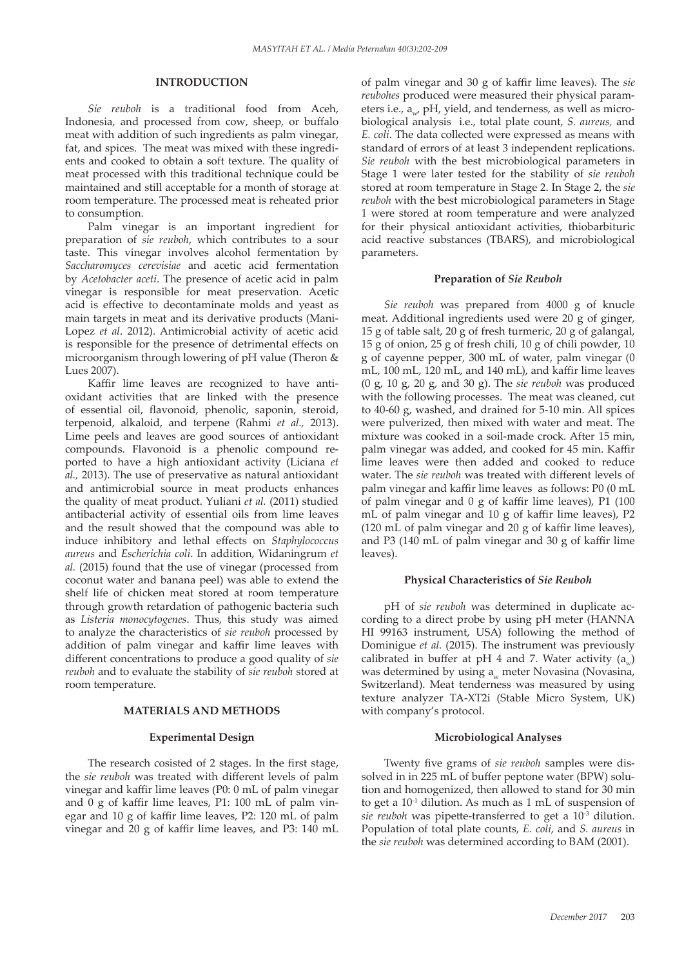# **INTRODUCTION**

*Sie reuboh* is a traditional food from Aceh, Indonesia, and processed from cow, sheep, or buffalo meat with addition of such ingredients as palm vinegar, fat, and spices. The meat was mixed with these ingredients and cooked to obtain a soft texture. The quality of meat processed with this traditional technique could be maintained and still acceptable for a month of storage at room temperature. The processed meat is reheated prior to consumption.

Palm vinegar is an important ingredient for preparation of *sie reuboh*, which contributes to a sour taste. This vinegar involves alcohol fermentation by *Saccharomyces cerevisiae* and acetic acid fermentation by *Acetobacter aceti*. The presence of acetic acid in palm vinegar is responsible for meat preservation. Acetic acid is effective to decontaminate molds and yeast as main targets in meat and its derivative products (Mani-Lopez *et al*. 2012). Antimicrobial activity of acetic acid is responsible for the presence of detrimental effects on microorganism through lowering of pH value (Theron & Lues 2007).

Kaffir lime leaves are recognized to have antioxidant activities that are linked with the presence of essential oil, flavonoid, phenolic, saponin, steroid, terpenoid, alkaloid, and terpene (Rahmi *et al.,* 2013). Lime peels and leaves are good sources of antioxidant compounds. Flavonoid is a phenolic compound reported to have a high antioxidant activity (Liciana *et al.,* 2013). The use of preservative as natural antioxidant and antimicrobial source in meat products enhances the quality of meat product. Yuliani *et al.* (2011) studied antibacterial activity of essential oils from lime leaves and the result showed that the compound was able to induce inhibitory and lethal effects on *Staphylococcus aureus* and *Escherichia coli*. In addition, Widaningrum *et al.* (2015) found that the use of vinegar (processed from coconut water and banana peel) was able to extend the shelf life of chicken meat stored at room temperature through growth retardation of pathogenic bacteria such as *Listeria monocytogenes*. Thus, this study was aimed to analyze the characteristics of *sie reuboh* processed by addition of palm vinegar and kaffir lime leaves with different concentrations to produce a good quality of *sie reuboh* and to evaluate the stability of *sie reuboh* stored at room temperature.

## **MATERIALS AND METHODS**

#### **Experimental Design**

The research cosisted of 2 stages. In the first stage, the *sie reuboh* was treated with different levels of palm vinegar and kaffir lime leaves (P0: 0 mL of palm vinegar and 0 g of kaffir lime leaves, P1: 100 mL of palm vinegar and 10 g of kaffir lime leaves, P2: 120 mL of palm vinegar and 20 g of kaffir lime leaves, and P3: 140 mL of palm vinegar and 30 g of kaffir lime leaves). The *sie reubohes* produced were measured their physical parameters i.e., a<sub>nd</sub> pH, yield, and tenderness, as well as microbiological analysis i.e., total plate count, *S. aureus,* and *E. coli*. The data collected were expressed as means with standard of errors of at least 3 independent replications. *Sie reuboh* with the best microbiological parameters in Stage 1 were later tested for the stability of *sie reuboh* stored at room temperature in Stage 2. In Stage 2, the *sie reuboh* with the best microbiological parameters in Stage 1 were stored at room temperature and were analyzed for their physical antioxidant activities, thiobarbituric acid reactive substances (TBARS), and microbiological parameters.

#### **Preparation of** *Sie Reuboh*

*Sie reuboh* was prepared from 4000 g of knucle meat. Additional ingredients used were 20 g of ginger, 15 g of table salt, 20 g of fresh turmeric, 20 g of galangal, 15 g of onion, 25 g of fresh chili, 10 g of chili powder, 10 g of cayenne pepper, 300 mL of water, palm vinegar (0 mL, 100 mL, 120 mL, and 140 mL), and kaffir lime leaves (0 g, 10 g, 20 g, and 30 g). The *sie reuboh* was produced with the following processes. The meat was cleaned, cut to 40-60 g, washed, and drained for 5-10 min. All spices were pulverized, then mixed with water and meat. The mixture was cooked in a soil-made crock. After 15 min, palm vinegar was added, and cooked for 45 min. Kaffir lime leaves were then added and cooked to reduce water. The *sie reuboh* was treated with different levels of palm vinegar and kaffir lime leaves as follows: P0 (0 mL of palm vinegar and 0 g of kaffir lime leaves), P1 (100 mL of palm vinegar and 10 g of kaffir lime leaves), P2 (120 mL of palm vinegar and 20 g of kaffir lime leaves), and P3 (140 mL of palm vinegar and 30 g of kaffir lime leaves).

#### **Physical Characteristics of** *Sie Reuboh*

pH of *sie reuboh* was determined in duplicate according to a direct probe by using pH meter (HANNA HI 99163 instrument, USA) following the method of Dominigue *et al.* (2015). The instrument was previously calibrated in buffer at pH 4 and 7. Water activity  $(a_w)$ was determined by using a<sub>w</sub> meter Novasina (Novasina, Switzerland). Meat tenderness was measured by using texture analyzer TA-XT2i (Stable Micro System, UK) with company's protocol.

#### **Microbiological Analyses**

Twenty five grams of *sie reuboh* samples were dissolved in in 225 mL of buffer peptone water (BPW) solution and homogenized, then allowed to stand for 30 min to get a  $10^{-1}$  dilution. As much as 1 mL of suspension of *sie reuboh* was pipette-transferred to get a 10<sup>-3</sup> dilution. Population of total plate counts, *E. coli*, and *S. aureus* in the *sie reuboh* was determined according to BAM (2001).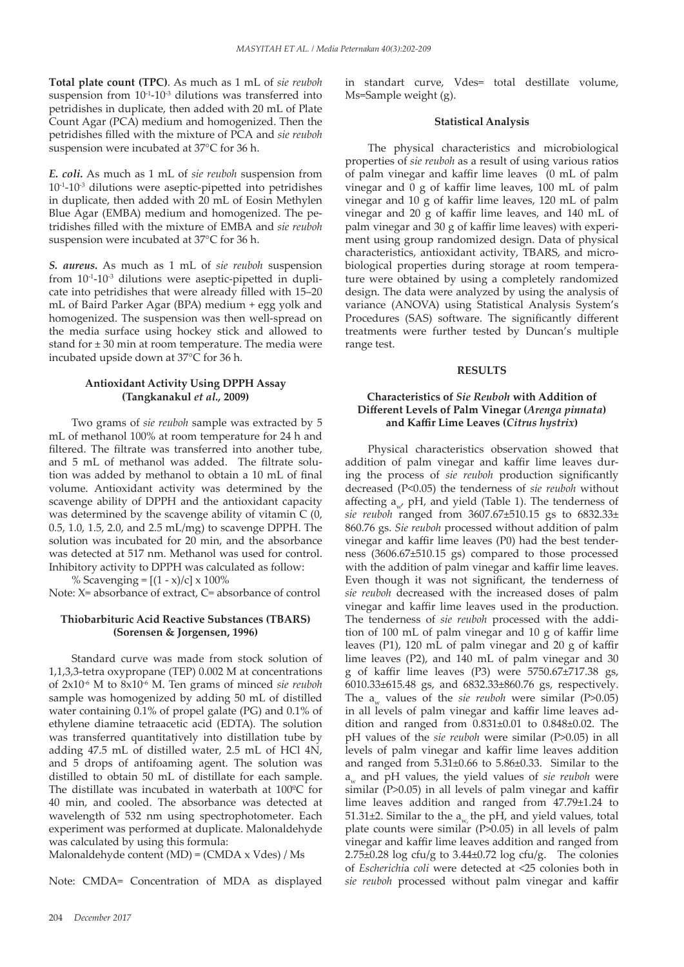**Total plate count (TPC)**. As much as 1 mL of *sie reuboh* suspension from  $10^{-1}$ - $10^{-3}$  dilutions was transferred into petridishes in duplicate, then added with 20 mL of Plate Count Agar (PCA) medium and homogenized. Then the petridishes filled with the mixture of PCA and *sie reuboh* suspension were incubated at 37°C for 36 h.

*E. coli.* As much as 1 mL of *sie reuboh* suspension from  $10^{-1}$ - $10^{-3}$  dilutions were aseptic-pipetted into petridishes in duplicate, then added with 20 mL of Eosin Methylen Blue Agar (EMBA) medium and homogenized. The petridishes filled with the mixture of EMBA and *sie reuboh* suspension were incubated at 37°C for 36 h.

*S. aureus.* As much as 1 mL of *sie reuboh* suspension from 10-1-10-3 dilutions were aseptic-pipetted in duplicate into petridishes that were already filled with 15–20 mL of Baird Parker Agar (BPA) medium + egg yolk and homogenized. The suspension was then well-spread on the media surface using hockey stick and allowed to stand for  $\pm 30$  min at room temperature. The media were incubated upside down at 37°C for 36 h.

## **Antioxidant Activity Using DPPH Assay (Tangkanakul** *et al.,* **2009)**

Two grams of *sie reuboh* sample was extracted by 5 mL of methanol 100% at room temperature for 24 h and filtered. The filtrate was transferred into another tube, and 5 mL of methanol was added. The filtrate solution was added by methanol to obtain a 10 mL of final volume. Antioxidant activity was determined by the scavenge ability of DPPH and the antioxidant capacity was determined by the scavenge ability of vitamin C (0, 0.5, 1.0, 1.5, 2.0, and 2.5 mL/mg) to scavenge DPPH. The solution was incubated for 20 min, and the absorbance was detected at 517 nm. Methanol was used for control. Inhibitory activity to DPPH was calculated as follow:

% Scavenging =  $[(1 - x)/c] \times 100\%$ 

Note: X= absorbance of extract, C= absorbance of control

# **Thiobarbituric Acid Reactive Substances (TBARS) (Sorensen & Jorgensen, 1996)**

Standard curve was made from stock solution of 1,1,3,3-tetra oxypropane (TEP) 0.002 M at concentrations of 2x10-6 M to 8x10-6 M. Ten grams of minced *sie reuboh* sample was homogenized by adding 50 mL of distilled water containing 0.1% of propel galate (PG) and 0.1% of ethylene diamine tetraacetic acid (EDTA). The solution was transferred quantitatively into distillation tube by adding 47.5 mL of distilled water, 2.5 mL of HCl 4N, and 5 drops of antifoaming agent. The solution was distilled to obtain 50 mL of distillate for each sample. The distillate was incubated in waterbath at 100ºC for 40 min, and cooled. The absorbance was detected at wavelength of 532 nm using spectrophotometer. Each experiment was performed at duplicate. Malonaldehyde was calculated by using this formula:

Malonaldehyde content (MD) = (CMDA x Vdes) / Ms

Note: CMDA= Concentration of MDA as displayed

in standart curve, Vdes= total destillate volume, Ms=Sample weight (g).

# **Statistical Analysis**

The physical characteristics and microbiological properties of *sie reuboh* as a result of using various ratios of palm vinegar and kaffir lime leaves (0 mL of palm vinegar and 0 g of kaffir lime leaves, 100 mL of palm vinegar and 10 g of kaffir lime leaves, 120 mL of palm vinegar and 20 g of kaffir lime leaves, and 140 mL of palm vinegar and 30 g of kaffir lime leaves) with experiment using group randomized design. Data of physical characteristics, antioxidant activity, TBARS, and microbiological properties during storage at room temperature were obtained by using a completely randomized design. The data were analyzed by using the analysis of variance (ANOVA) using Statistical Analysis System's Procedures (SAS) software. The significantly different treatments were further tested by Duncan's multiple range test.

### **RESULTS**

# **Characteristics of** *Sie Reuboh* **with Addition of Different Levels of Palm Vinegar (***Arenga pinnata***) and Kaffir Lime Leaves (***Citrus hystrix***)**

Physical characteristics observation showed that addition of palm vinegar and kaffir lime leaves during the process of *sie reuboh* production significantly decreased (P<0.05) the tenderness of *sie reuboh* without affecting  $a_{n}$ , pH, and yield (Table 1). The tenderness of *sie reuboh* ranged from 3607.67±510.15 gs to 6832.33± 860.76 gs. *Sie reuboh* processed without addition of palm vinegar and kaffir lime leaves (P0) had the best tenderness (3606.67±510.15 gs) compared to those processed with the addition of palm vinegar and kaffir lime leaves. Even though it was not significant, the tenderness of *sie reuboh* decreased with the increased doses of palm vinegar and kaffir lime leaves used in the production. The tenderness of *sie reuboh* processed with the addition of 100 mL of palm vinegar and 10 g of kaffir lime leaves (P1), 120 mL of palm vinegar and 20 g of kaffir lime leaves (P2), and 140 mL of palm vinegar and 30 g of kaffir lime leaves (P3) were 5750.67±717.38 gs, 6010.33±615.48 gs, and 6832.33±860.76 gs, respectively. The  $a_{\ldots}$  values of the *sie reuboh* were similar (P $>0.05$ ) in all levels of palm vinegar and kaffir lime leaves addition and ranged from 0.831±0.01 to 0.848±0.02. The pH values of the *sie reuboh* were similar (P>0.05) in all levels of palm vinegar and kaffir lime leaves addition and ranged from 5.31±0.66 to 5.86±0.33. Similar to the a<sub>w</sub> and pH values, the yield values of *sie reuboh* were similar (P>0.05) in all levels of palm vinegar and kaffir lime leaves addition and ranged from 47.79±1.24 to 51.31 $\pm$ 2. Similar to the a<sub>w</sub> the pH, and yield values, total plate counts were similar (P>0.05) in all levels of palm vinegar and kaffir lime leaves addition and ranged from  $2.75\pm0.28$  log cfu/g to  $3.44\pm0.72$  log cfu/g. The colonies of *Escherichi*a *coli* were detected at <25 colonies both in *sie reuboh* processed without palm vinegar and kaffir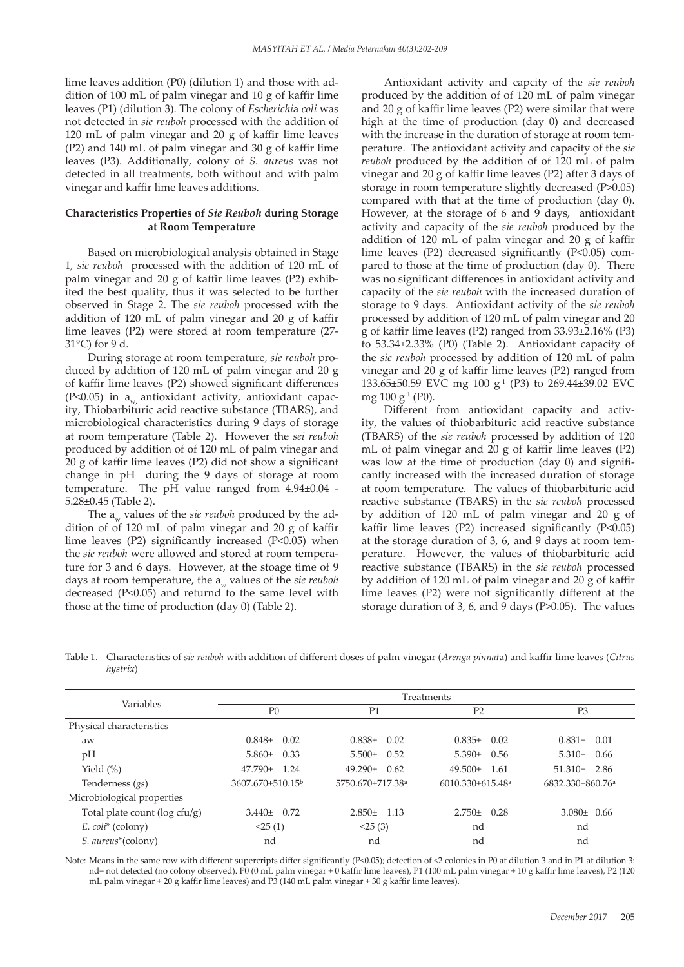lime leaves addition (P0) (dilution 1) and those with addition of 100 mL of palm vinegar and 10 g of kaffir lime leaves (P1) (dilution 3). The colony of *Escherichi*a *coli* was not detected in *sie reuboh* processed with the addition of 120 mL of palm vinegar and 20 g of kaffir lime leaves (P2) and 140 mL of palm vinegar and 30 g of kaffir lime leaves (P3). Additionally, colony of *S. aureus* was not detected in all treatments, both without and with palm vinegar and kaffir lime leaves additions.

## **Characteristics Properties of** *Sie Reuboh* **during Storage at Room Temperature**

Based on microbiological analysis obtained in Stage 1, *sie reuboh* processed with the addition of 120 mL of palm vinegar and 20 g of kaffir lime leaves (P2) exhibited the best quality, thus it was selected to be further observed in Stage 2. The *sie reuboh* processed with the addition of 120 mL of palm vinegar and 20 g of kaffir lime leaves (P2) were stored at room temperature (27- 31°C) for 9 d.

During storage at room temperature, *sie reuboh* produced by addition of 120 mL of palm vinegar and 20 g of kaffir lime leaves (P2) showed significant differences  $(P<0.05)$  in a<sub>w</sub> antioxidant activity, antioxidant capacity, Thiobarbituric acid reactive substance (TBARS), and microbiological characteristics during 9 days of storage at room temperature (Table 2). However the *sei reuboh* produced by addition of of 120 mL of palm vinegar and 20 g of kaffir lime leaves (P2) did not show a significant change in pH during the 9 days of storage at room temperature. The pH value ranged from  $4.94\pm0.04$  -5.28±0.45 (Table 2).

The a<sub>w</sub> values of the *sie reuboh* produced by the addition of of 120 mL of palm vinegar and 20 g of kaffir lime leaves (P2) significantly increased (P<0.05) when the *sie reuboh* were allowed and stored at room temperature for 3 and 6 days. However, at the stoage time of 9 days at room temperature, the a<sub>w</sub> values of the *sie reuboh* decreased (P<0.05) and returnd to the same level with those at the time of production (day 0) (Table 2).

Antioxidant activity and capcity of the *sie reuboh* produced by the addition of of 120 mL of palm vinegar and 20 g of kaffir lime leaves (P2) were similar that were high at the time of production (day 0) and decreased with the increase in the duration of storage at room temperature. The antioxidant activity and capacity of the *sie reuboh* produced by the addition of of 120 mL of palm vinegar and 20 g of kaffir lime leaves (P2) after 3 days of storage in room temperature slightly decreased (P>0.05) compared with that at the time of production (day 0). However, at the storage of 6 and 9 days, antioxidant activity and capacity of the *sie reuboh* produced by the addition of 120 mL of palm vinegar and 20 g of kaffir lime leaves (P2) decreased significantly (P<0.05) compared to those at the time of production (day 0). There was no significant differences in antioxidant activity and capacity of the *sie reuboh* with the increased duration of storage to 9 days. Antioxidant activity of the *sie reuboh* processed by addition of 120 mL of palm vinegar and 20 g of kaffir lime leaves (P2) ranged from 33.93±2.16% (P3) to 53.34±2.33% (P0) (Table 2). Antioxidant capacity of the *sie reuboh* processed by addition of 120 mL of palm vinegar and 20 g of kaffir lime leaves (P2) ranged from 133.65±50.59 EVC mg 100 g<sup>-1</sup> (P3) to 269.44±39.02 EVC mg 100 g-1 (P0).

Different from antioxidant capacity and activity, the values of thiobarbituric acid reactive substance (TBARS) of the *sie reuboh* processed by addition of 120 mL of palm vinegar and 20 g of kaffir lime leaves (P2) was low at the time of production (day 0) and significantly increased with the increased duration of storage at room temperature. The values of thiobarbituric acid reactive substance (TBARS) in the *sie reuboh* processed by addition of 120 mL of palm vinegar and 20 g of kaffir lime leaves (P2) increased significantly (P<0.05) at the storage duration of 3, 6, and 9 days at room temperature. However, the values of thiobarbituric acid reactive substance (TBARS) in the *sie reuboh* processed by addition of 120 mL of palm vinegar and 20 g of kaffir lime leaves (P2) were not significantly different at the storage duration of 3, 6, and 9 days (P>0.05). The values

Table 1. Characteristics of *sie reuboh* with addition of different doses of palm vinegar (*Arenga pinnat*a) and kaffir lime leaves (*Citrus hystrix*)

|                                 | Treatments                  |                              |                                    |                              |  |  |  |  |
|---------------------------------|-----------------------------|------------------------------|------------------------------------|------------------------------|--|--|--|--|
| Variables                       | P <sub>0</sub>              | P <sub>1</sub>               | P2                                 | P <sub>3</sub>               |  |  |  |  |
| Physical characteristics        |                             |                              |                                    |                              |  |  |  |  |
| aw                              | $0.848 \pm 0.02$            | $0.838\pm$<br>0.02           | $0.835\pm 0.02$                    | $0.831 \pm 0.01$             |  |  |  |  |
| pH                              | $5.860 \pm 0.33$            | $5.500 \pm$<br>0.52          | $5.390 \pm 0.56$                   | $5.310 \pm 0.66$             |  |  |  |  |
| Yield $(\%)$                    | $47.790 \pm 1.24$           | $49.290 \pm$<br>0.62         | $49.500 \pm$<br>- 1.61             | $51.310 \pm 2.86$            |  |  |  |  |
| Tenderness $(gs)$               | $3607.670\pm510.15^{\circ}$ | 5750.670±717.38 <sup>a</sup> | $6010.330 \pm 615.48$ <sup>a</sup> | 6832.330±860.76 <sup>a</sup> |  |  |  |  |
| Microbiological properties      |                             |                              |                                    |                              |  |  |  |  |
| Total plate count (log cfu/g)   | $3.440 \pm 0.72$            | $2.850 \pm 1.13$             | 0.28<br>$2.750 \pm$                | $3.080 \pm 0.66$             |  |  |  |  |
| $E.$ $\text{coli*}$ (colony)    | <25(1)                      | <25(3)                       | nd                                 | nd                           |  |  |  |  |
| S. aureus <sup>*</sup> (colony) | nd                          | nd                           | nd                                 | nd                           |  |  |  |  |

Note: Means in the same row with different supercripts differ significantly (P<0.05); detection of <2 colonies in P0 at dilution 3 and in P1 at dilution 3: nd= not detected (no colony observed). P0 (0 mL palm vinegar + 0 kaffir lime leaves), P1 (100 mL palm vinegar + 10 g kaffir lime leaves), P2 (120 mL palm vinegar + 20 g kaffir lime leaves) and P3 (140 mL palm vinegar + 30 g kaffir lime leaves).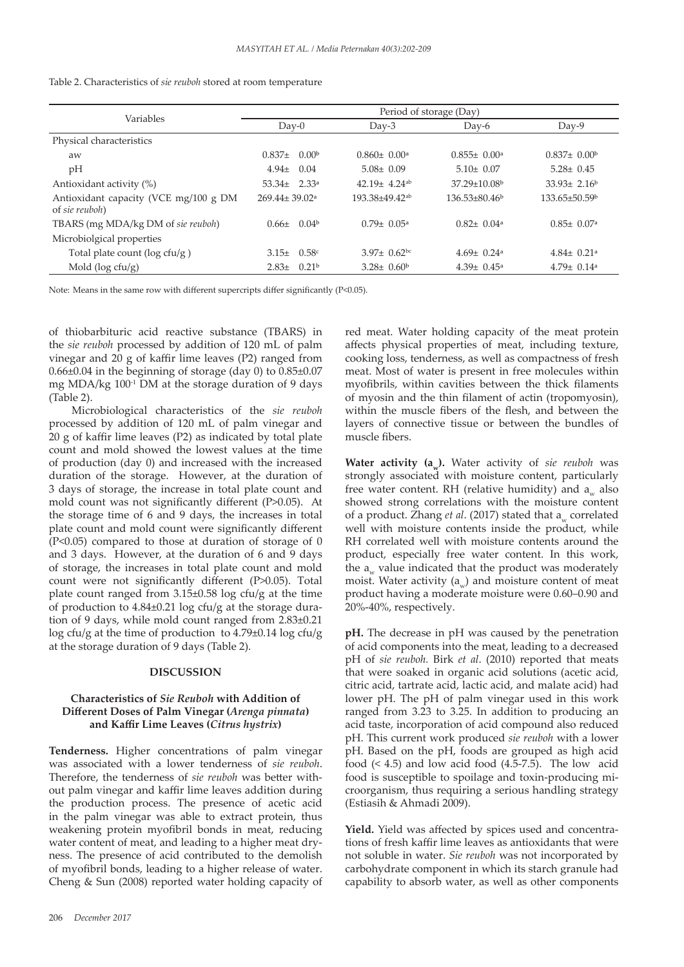|  | Table 2. Characteristics of <i>sie reuboh</i> stored at room temperature |  |  |  |  |  |
|--|--------------------------------------------------------------------------|--|--|--|--|--|
|--|--------------------------------------------------------------------------|--|--|--|--|--|

| Variables                                               | Period of storage (Day)         |                   |                                |                                |                                 |  |  |
|---------------------------------------------------------|---------------------------------|-------------------|--------------------------------|--------------------------------|---------------------------------|--|--|
|                                                         | $Day-0$                         |                   | $Day-3$                        | $Day-6$                        | $Day-9$                         |  |  |
| Physical characteristics                                |                                 |                   |                                |                                |                                 |  |  |
| aw                                                      | $0.837\pm$                      | 0.00 <sup>b</sup> | $0.860 \pm 0.00^{\circ}$       | $0.855 \pm 0.00^{\circ}$       | $0.837 \pm 0.00^{\circ}$        |  |  |
| pH                                                      | $4.94 \pm$                      | 0.04              | $5.08 \pm 0.09$                | $5.10 \pm 0.07$                | $5.28 \pm 0.45$                 |  |  |
| Antioxidant activity (%)                                | 53.34 $\pm$ 2.33 <sup>a</sup>   |                   | $42.19 \pm 4.24$ <sup>ab</sup> | $37.29 \pm 10.08$ <sup>b</sup> | $33.93 \pm 2.16^b$              |  |  |
| Antioxidant capacity (VCE mg/100 g DM<br>of sie reuboh) | $269.44 \pm 39.02$ <sup>a</sup> |                   | $193.38\pm49.42^{ab}$          | $136.53\pm80.46^{\circ}$       | $133.65 \pm 50.59$ <sup>b</sup> |  |  |
| TBARS (mg MDA/kg DM of sie reuboh)                      | $0.66 \pm$                      | 0.04 <sup>b</sup> | $0.79 \pm 0.05^{\circ}$        | $0.82 \pm 0.04$ <sup>a</sup>   | $0.85 \pm 0.07$ <sup>a</sup>    |  |  |
| Microbiolgical properties                               |                                 |                   |                                |                                |                                 |  |  |
| Total plate count ( $log ctu/g$ )                       | $3.15 \pm$                      | 0.58c             | $3.97 \pm 0.62$ bc             | $4.69 \pm 0.24$ <sup>a</sup>   | $4.84 \pm 0.21$ <sup>a</sup>    |  |  |
| Mold ( $log ctu/g$ )                                    | $2.83 \pm$                      | 0.21 <sup>b</sup> | $3.28 \pm 0.60^{\circ}$        | $4.39 \pm 0.45^{\text{a}}$     | $4.79 \pm 0.14$ <sup>a</sup>    |  |  |

Note: Means in the same row with different supercripts differ significantly (P<0.05).

of thiobarbituric acid reactive substance (TBARS) in the *sie reuboh* processed by addition of 120 mL of palm vinegar and 20 g of kaffir lime leaves (P2) ranged from 0.66±0.04 in the beginning of storage (day 0) to 0.85±0.07 mg MDA/kg 100<sup>-1</sup> DM at the storage duration of 9 days (Table 2).

Microbiological characteristics of the *sie reuboh* processed by addition of 120 mL of palm vinegar and 20 g of kaffir lime leaves (P2) as indicated by total plate count and mold showed the lowest values at the time of production (day 0) and increased with the increased duration of the storage. However, at the duration of 3 days of storage, the increase in total plate count and mold count was not significantly different (P>0.05). At the storage time of 6 and 9 days, the increases in total plate count and mold count were significantly different (P<0.05) compared to those at duration of storage of 0 and 3 days. However, at the duration of 6 and 9 days of storage, the increases in total plate count and mold count were not significantly different (P>0.05). Total plate count ranged from 3.15±0.58 log cfu/g at the time of production to 4.84±0.21 log cfu/g at the storage duration of 9 days, while mold count ranged from 2.83±0.21 log cfu/g at the time of production to 4.79±0.14 log cfu/g at the storage duration of 9 days (Table 2).

# **DISCUSSION**

# **Characteristics of** *Sie Reuboh* **with Addition of Different Doses of Palm Vinegar (***Arenga pinnata***) and Kaffir Lime Leaves (***Citrus hystrix***)**

**Tenderness.** Higher concentrations of palm vinegar was associated with a lower tenderness of *sie reuboh*. Therefore, the tenderness of *sie reuboh* was better without palm vinegar and kaffir lime leaves addition during the production process. The presence of acetic acid in the palm vinegar was able to extract protein, thus weakening protein myofibril bonds in meat, reducing water content of meat, and leading to a higher meat dryness. The presence of acid contributed to the demolish of myofibril bonds, leading to a higher release of water. Cheng & Sun (2008) reported water holding capacity of

red meat. Water holding capacity of the meat protein affects physical properties of meat, including texture, cooking loss, tenderness, as well as compactness of fresh meat. Most of water is present in free molecules within myofibrils, within cavities between the thick filaments of myosin and the thin filament of actin (tropomyosin), within the muscle fibers of the flesh, and between the layers of connective tissue or between the bundles of muscle fibers.

**Water activity (aw).** Water activity of *sie reuboh* was strongly associated with moisture content, particularly free water content. RH (relative humidity) and a<sub>w</sub> also showed strong correlations with the moisture content of a product. Zhang *et al.* (2017) stated that a<sub>w</sub> correlated well with moisture contents inside the product, while RH correlated well with moisture contents around the product, especially free water content. In this work, the  $a_w$  value indicated that the product was moderately moist. Water activity  $(a_{w})$  and moisture content of meat product having a moderate moisture were 0.60–0.90 and 20%-40%, respectively.

**pH.** The decrease in pH was caused by the penetration of acid components into the meat, leading to a decreased pH of *sie reuboh.* Birk *et al*. (2010) reported that meats that were soaked in organic acid solutions (acetic acid, citric acid, tartrate acid, lactic acid, and malate acid) had lower pH. The pH of palm vinegar used in this work ranged from 3.23 to 3.25. In addition to producing an acid taste, incorporation of acid compound also reduced pH. This current work produced *sie reuboh* with a lower pH. Based on the pH, foods are grouped as high acid food  $(4.5)$  and low acid food  $(4.5-7.5)$ . The low acid food is susceptible to spoilage and toxin-producing microorganism, thus requiring a serious handling strategy (Estiasih & Ahmadi 2009).

Yield. Yield was affected by spices used and concentrations of fresh kaffir lime leaves as antioxidants that were not soluble in water. *Sie reuboh* was not incorporated by carbohydrate component in which its starch granule had capability to absorb water, as well as other components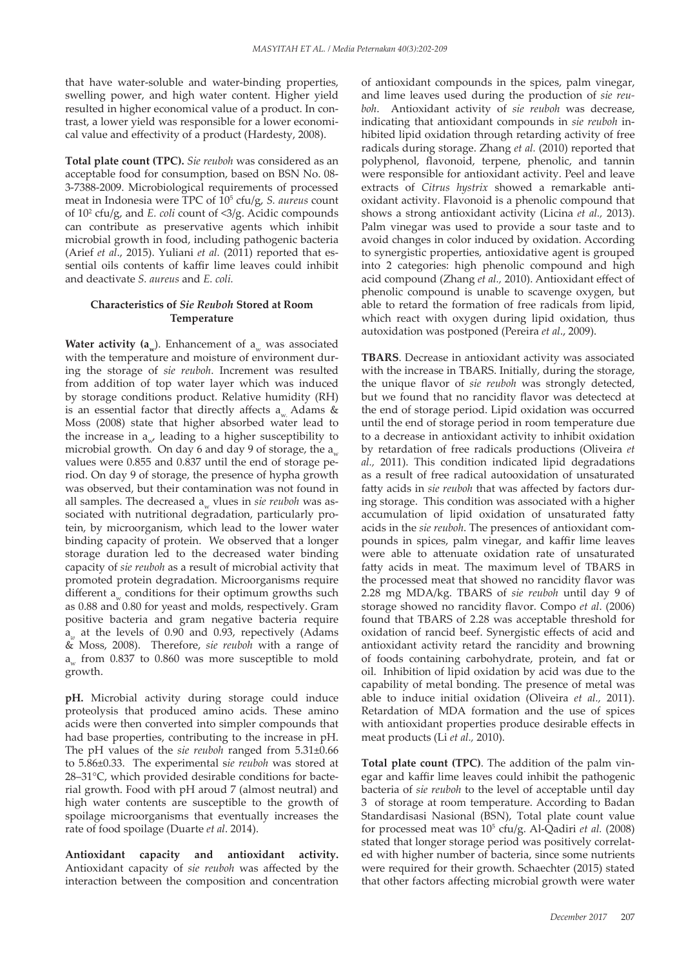that have water-soluble and water-binding properties, swelling power, and high water content. Higher yield resulted in higher economical value of a product. In contrast, a lower yield was responsible for a lower economical value and effectivity of a product (Hardesty, 2008).

**Total plate count (TPC).** *Sie reuboh* was considered as an acceptable food for consumption, based on BSN No. 08- 3-7388-2009. Microbiological requirements of processed meat in Indonesia were TPC of 10<sup>5</sup> cfu/g, *S. aureus* count of 102 cfu/g, and *E. coli* count of <3/g. Acidic compounds can contribute as preservative agents which inhibit microbial growth in food, including pathogenic bacteria (Arief *et al*., 2015). Yuliani *et al.* (2011) reported that essential oils contents of kaffir lime leaves could inhibit and deactivate *S. aureus* and *E. coli.*

# **Characteristics of** *Sie Reuboh* **Stored at Room Temperature**

**Water activity (a<sub>w</sub>)**. Enhancement of a<sub>w</sub> was associated with the temperature and moisture of environment during the storage of *sie reuboh*. Increment was resulted from addition of top water layer which was induced by storage conditions product. Relative humidity (RH) is an essential factor that directly affects a Adams  $\&$ Moss (2008) state that higher absorbed water lead to the increase in  $a_{n}$ , leading to a higher susceptibility to microbial growth. On day 6 and day 9 of storage, the  $a_{\alpha}$ values were 0.855 and 0.837 until the end of storage period. On day 9 of storage, the presence of hypha growth was observed, but their contamination was not found in all samples. The decreased a<sub>w</sub> vlues in *sie reuboh* was associated with nutritional degradation, particularly protein, by microorganism, which lead to the lower water binding capacity of protein. We observed that a longer storage duration led to the decreased water binding capacity of *sie reuboh* as a result of microbial activity that promoted protein degradation. Microorganisms require different  $a_w$  conditions for their optimum growths such as 0.88 and 0.80 for yeast and molds, respectively. Gram positive bacteria and gram negative bacteria require a*w* at the levels of 0.90 and 0.93, repectively (Adams & Moss, 2008). Therefore, *sie reuboh* with a range of  $a_w$  from 0.837 to 0.860 was more susceptible to mold growth.

**pH.** Microbial activity during storage could induce proteolysis that produced amino acids. These amino acids were then converted into simpler compounds that had base properties, contributing to the increase in pH. The pH values of the *sie reuboh* ranged from 5.31±0.66 to 5.86±0.33. The experimental s*ie reuboh* was stored at 28–31°C, which provided desirable conditions for bacterial growth. Food with pH aroud 7 (almost neutral) and high water contents are susceptible to the growth of spoilage microorganisms that eventually increases the rate of food spoilage (Duarte *et al*. 2014).

**Antioxidant capacity and antioxidant activity.** Antioxidant capacity of *sie reuboh* was affected by the interaction between the composition and concentration of antioxidant compounds in the spices, palm vinegar, and lime leaves used during the production of *sie reuboh*. Antioxidant activity of *sie reuboh* was decrease, indicating that antioxidant compounds in *sie reuboh* inhibited lipid oxidation through retarding activity of free radicals during storage. Zhang *et al.* (2010) reported that polyphenol, flavonoid, terpene, phenolic, and tannin were responsible for antioxidant activity. Peel and leave extracts of *Citrus hystrix* showed a remarkable antioxidant activity. Flavonoid is a phenolic compound that shows a strong antioxidant activity (Licina *et al.,* 2013). Palm vinegar was used to provide a sour taste and to avoid changes in color induced by oxidation. According to synergistic properties, antioxidative agent is grouped into 2 categories: high phenolic compound and high acid compound (Zhang *et al.,* 2010). Antioxidant effect of phenolic compound is unable to scavenge oxygen, but able to retard the formation of free radicals from lipid, which react with oxygen during lipid oxidation, thus autoxidation was postponed (Pereira *et al*., 2009).

**TBARS**. Decrease in antioxidant activity was associated with the increase in TBARS. Initially, during the storage, the unique flavor of *sie reuboh* was strongly detected, but we found that no rancidity flavor was detectecd at the end of storage period. Lipid oxidation was occurred until the end of storage period in room temperature due to a decrease in antioxidant activity to inhibit oxidation by retardation of free radicals productions (Oliveira *et al.,* 2011). This condition indicated lipid degradations as a result of free radical autooxidation of unsaturated fatty acids in *sie reuboh* that was affected by factors during storage. This condition was associated with a higher accumulation of lipid oxidation of unsaturated fatty acids in the *sie reuboh*. The presences of antioxidant compounds in spices, palm vinegar, and kaffir lime leaves were able to attenuate oxidation rate of unsaturated fatty acids in meat. The maximum level of TBARS in the processed meat that showed no rancidity flavor was 2.28 mg MDA/kg. TBARS of *sie reuboh* until day 9 of storage showed no rancidity flavor. Compo *et al*. (2006) found that TBARS of 2.28 was acceptable threshold for oxidation of rancid beef. Synergistic effects of acid and antioxidant activity retard the rancidity and browning of foods containing carbohydrate, protein, and fat or oil. Inhibition of lipid oxidation by acid was due to the capability of metal bonding. The presence of metal was able to induce initial oxidation (Oliveira *et al.,* 2011). Retardation of MDA formation and the use of spices with antioxidant properties produce desirable effects in meat products (Li *et al.,* 2010).

**Total plate count (TPC)**. The addition of the palm vinegar and kaffir lime leaves could inhibit the pathogenic bacteria of *sie reuboh* to the level of acceptable until day 3 of storage at room temperature. According to Badan Standardisasi Nasional (BSN), Total plate count value for processed meat was 10<sup>5</sup> cfu/g. Al-Qadiri *et al.* (2008) stated that longer storage period was positively correlated with higher number of bacteria, since some nutrients were required for their growth. Schaechter (2015) stated that other factors affecting microbial growth were water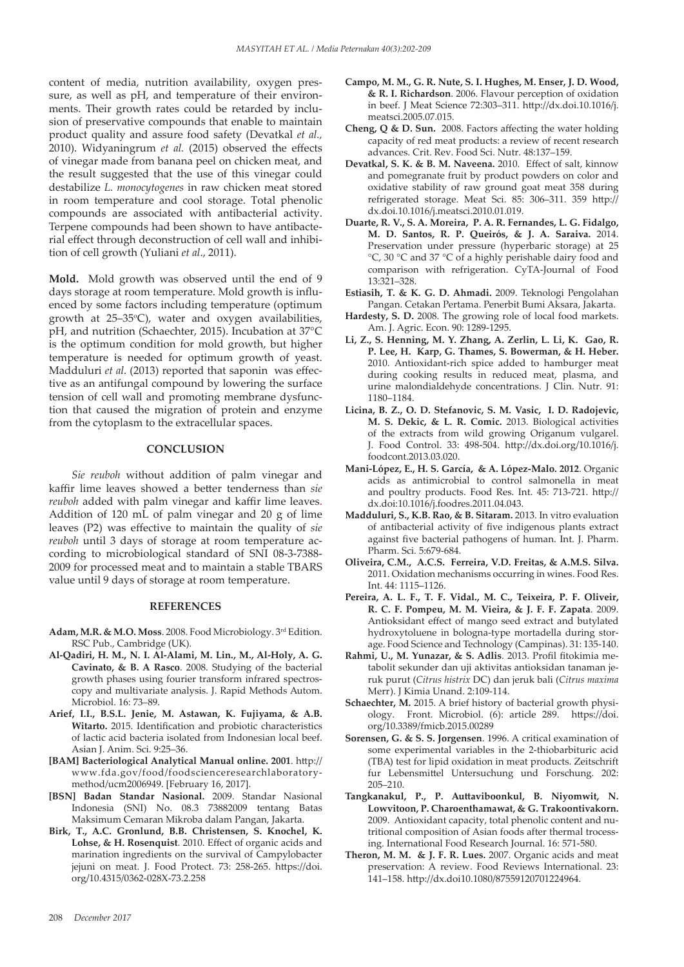content of media, nutrition availability, oxygen pressure, as well as pH, and temperature of their environments. Their growth rates could be retarded by inclusion of preservative compounds that enable to maintain product quality and assure food safety (Devatkal *et al.,* 2010). Widyaningrum *et al.* (2015) observed the effects of vinegar made from banana peel on chicken meat, and the result suggested that the use of this vinegar could destabilize *L. monocytogenes* in raw chicken meat stored in room temperature and cool storage. Total phenolic compounds are associated with antibacterial activity. Terpene compounds had been shown to have antibacterial effect through deconstruction of cell wall and inhibition of cell growth (Yuliani *et al*., 2011).

**Mold.** Mold growth was observed until the end of 9 days storage at room temperature. Mold growth is influenced by some factors including temperature (optimum growth at 25–35°C), water and oxygen availabilities, pH, and nutrition (Schaechter, 2015). Incubation at 37°C is the optimum condition for mold growth, but higher temperature is needed for optimum growth of yeast. Madduluri *et al*. (2013) reported that saponin was effective as an antifungal compound by lowering the surface tension of cell wall and promoting membrane dysfunction that caused the migration of protein and enzyme from the cytoplasm to the extracellular spaces.

# **CONCLUSION**

*Sie reuboh* without addition of palm vinegar and kaffir lime leaves showed a better tenderness than *sie reuboh* added with palm vinegar and kaffir lime leaves. Addition of 120 mL of palm vinegar and 20 g of lime leaves (P2) was effective to maintain the quality of *sie reuboh* until 3 days of storage at room temperature according to microbiological standard of SNI 08-3-7388- 2009 for processed meat and to maintain a stable TBARS value until 9 days of storage at room temperature.

#### **REFERENCES**

- **Adam, M.R. & M.O. Moss**. 2008. Food Microbiology. 3rd Edition. RSC Pub., Cambridge (UK).
- **Al-Qadiri, H. M., N. I. Al-Alami, M. Lin., M., Al-Holy, A. G. Cavinato, & B. A Rasco**. 2008. Studying of the bacterial growth phases using fourier transform infrared spectroscopy and multivariate analysis. J. Rapid Methods Autom. Microbiol. 16: 73–89.
- **Arief, I.I., B.S.L. Jenie, M. Astawan, K. Fujiyama, & A.B. Witarto.** 2015. Identification and probiotic characteristics of lactic acid bacteria isolated from Indonesian local beef. Asian J. Anim. Sci. 9:25–36.
- **[BAM] Bacteriological Analytical Manual online. 2001**. http:// www.fda.gov/food/foodscienceresearchlaboratorymethod/ucm2006949. [February 16, 2017].
- **[BSN] Badan Standar Nasional.** 2009. Standar Nasional Indonesia (SNI) No. 08.3 73882009 tentang Batas Maksimum Cemaran Mikroba dalam Pangan, Jakarta.
- **Birk, T., A.C. Gronlund, B.B. Christensen, S. Knochel, K. Lohse, & H. Rosenquist**. 2010. Effect of organic acids and marination ingredients on the survival of Campylobacter jejuni on meat. J. Food Protect. 73: 258-265. https://doi. org/10.4315/0362-028X-73.2.258
- **Campo, M. M., G. R. Nute, S. I. Hughes, M. Enser, J. D. Wood, & R. I. Richardson**. 2006. Flavour perception of oxidation in beef. J Meat Science 72:303–311. http://dx.doi.10.1016/j. meatsci.2005.07.015.
- **Cheng, Q & D. Sun.** 2008. Factors affecting the water holding capacity of red meat products: a review of recent research advances. Crit. Rev. Food Sci. Nutr. 48:137–159.
- **Devatkal, S. K. & B. M. Naveena.** 2010. Effect of salt, kinnow and pomegranate fruit by product powders on color and oxidative stability of raw ground goat meat 358 during refrigerated storage. Meat Sci. 85: 306–311. 359 http:// dx.doi.10.1016/j.meatsci.2010.01.019.
- **Duarte, R. V., S. A. Moreira, P. A. R. Fernandes, L. G. Fidalgo, M. D. Santos, R. P. Queirós, & J. A. Saraiva.** 2014. Preservation under pressure (hyperbaric storage) at 25 °C, 30 °C and 37 °C of a highly perishable dairy food and comparison with refrigeration. CyTA-Journal of Food 13:321–328.
- **Estiasih, T. & K. G. D. Ahmadi.** 2009. Teknologi Pengolahan Pangan. Cetakan Pertama. Penerbit Bumi Aksara, Jakarta.
- **Hardesty, S. D.** 2008. The growing role of local food markets. Am. J. Agric. Econ. 90: 1289-1295.
- **Li, Z., S. Henning, M. Y. Zhang, A. Zerlin, L. Li, K. Gao, R. P. Lee, H. Karp, G. Thames, S. Bowerman, & H. Heber.** 2010. Antioxidant-rich spice added to hamburger meat during cooking results in reduced meat, plasma, and urine malondialdehyde concentrations. J Clin. Nutr. 91: 1180–1184.
- **Licina, B. Z., O. D. Stefanovic, S. M. Vasic, I. D. Radojevic, M. S. Dekic, & L. R. Comic.** 2013. Biological activities of the extracts from wild growing Origanum vulgarel. J. Food Control. 33: 498-504. http://dx.doi.org/10.1016/j. foodcont.2013.03.020.
- **Mani-López, E., H. S. García, & A. López-Malo. 2012**. Organic acids as antimicrobial to control salmonella in meat and poultry products. Food Res. Int. 45: 713-721. http:// dx.doi:10.1016/j.foodres.2011.04.043.
- **Madduluri, S., K.B. Rao, & B. Sitaram.** 2013. In vitro evaluation of antibacterial activity of five indigenous plants extract against five bacterial pathogens of human. Int. J. Pharm. Pharm. Sci. 5:679-684.
- **Oliveira, C.M., A.C.S. Ferreira, V.D. Freitas, & A.M.S. Silva.**  2011. Oxidation mechanisms occurring in wines. Food Res. Int. 44: 1115–1126.
- **Pereira, A. L. F., T. F. Vidal., M. C., Teixeira, P. F. Oliveir, R. C. F. Pompeu, M. M. Vieira, & J. F. F. Zapata**. 2009. Antioksidant effect of mango seed extract and butylated hydroxytoluene in bologna-type mortadella during storage. Food Science and Technology (Campinas). 31: 135-140.
- **Rahmi, U., M. Yunazar, & S. Adlis**. 2013. Profil fitokimia metabolit sekunder dan uji aktivitas antioksidan tanaman jeruk purut (*Citrus histrix* DC) dan jeruk bali (*Citrus maxima* Merr). J Kimia Unand. 2:109-114.
- **Schaechter, M.** 2015. A brief history of bacterial growth physiology. Front. Microbiol. (6): article 289. https://doi. org/10.3389/fmicb.2015.00289
- **Sorensen, G. & S. S. Jorgensen**. 1996. A critical examination of some experimental variables in the 2-thiobarbituric acid (TBA) test for lipid oxidation in meat products. Zeitschrift fur Lebensmittel Untersuchung und Forschung. 202: 205–210.
- **Tangkanakul, P., P. Auttaviboonkul, B. Niyomwit, N. Lowvitoon, P. Charoenthamawat, & G. Trakoontivakorn.** 2009. Antioxidant capacity, total phenolic content and nutritional composition of Asian foods after thermal trocessing*.* International Food Research Journal. 16: 571-580.
- **Theron, M. M. & J. F. R. Lues.** 2007. Organic acids and meat preservation: A review. Food Reviews International. 23: 141–158. http://dx.doi10.1080/87559120701224964.